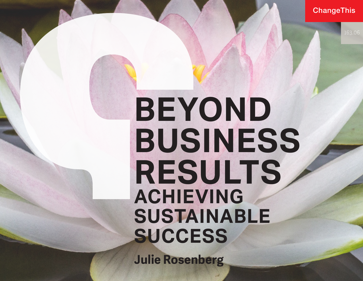**ChangeThis** 

# **BEYOND BUSINESS RESULTS ACHIEVING SUSTAINABLE SUCCESS**

**Julie Rosenberg**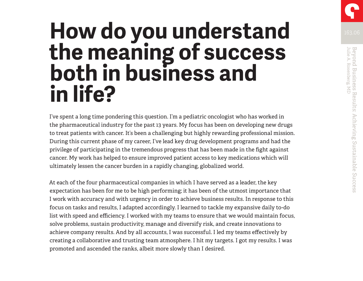## **How do you understand the meaning of success both in business and in life?**

I've spent a long time pondering this question. I'm a pediatric oncologist who has worked in the pharmaceutical industry for the past 13 years. My focus has been on developing new drugs to treat patients with cancer. It's been a challenging but highly rewarding professional mission. During this current phase of my career, I've lead key drug development programs and had the privilege of participating in the tremendous progress that has been made in the fight against cancer. My work has helped to ensure improved patient access to key medications which will ultimately lessen the cancer burden in a rapidly changing, globalized world.

At each of the four pharmaceutical companies in which I have served as a leader, the key expectation has been for me to be high performing; it has been of the utmost importance that I work with accuracy and with urgency in order to achieve business results. In response to this focus on tasks and results, I adapted accordingly. I learned to tackle my expansive daily to-do list with speed and efficiency. I worked with my teams to ensure that we would maintain focus, solve problems, sustain productivity, manage and diversify risk, and create innovations to achieve company results. And by all accounts, I was successful. I led my teams effectively by creating a collaborative and trusting team atmosphere. I hit my targets. I got my results. I was promoted and ascended the ranks, albeit more slowly than I desired.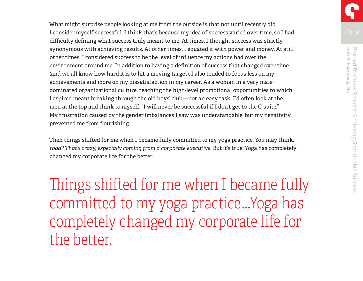What might surprise people looking at me from the outside is that not until recently did I consider myself successful. I think that's because my idea of success varied over time, so I had difficulty defining what success truly meant to me. At times, I thought success was strictly synonymous with achieving results. At other times, I equated it with power and money. At still other times, I considered success to be the level of influence my actions had over the environment around me. In addition to having a definition of success that changed over time (and we all know how hard it is to hit a moving target), I also tended to focus less on my achievements and more on my dissatisfaction in my career. As a woman in a very maledominated organizational culture, reaching the high-level promotional opportunities to which I aspired meant breaking through the old boys' club—not an easy task. I'd often look at the men at the top and think to myself, "I will never be successful if I don't get to the C-suite." My frustration caused by the gender imbalances I saw was understandable, but my negativity prevented me from flourishing.

Then things shifted for me when I became fully committed to my yoga practice. You may think, *Yoga? That's crazy, especially coming from a corporate executive.* But it's true: Yoga has completely changed my corporate life for the better.

Things shifted for me when I became fully committed to my yoga practice…Yoga has completely changed my corporate life for the better.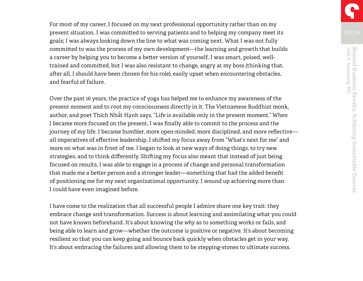For most of my career, I focused on my next professional opportunity rather than on my present situation. I was committed to serving patients and to helping my company meet its goals; I was always looking down the line to what was coming next. What I was not fully committed to was the process of my own development—the learning and growth that builds a career by helping you to become a better version of yourself. I was smart, poised, welltrained and committed, but I was also resistant to change, angry at my boss (thinking that, after all, I should have been chosen for his role), easily upset when encountering obstacles, and fearful of failure.

Over the past 16 years, the practice of yoga has helped me to enhance my awareness of the present moment and to root my consciousness directly in it. The Vietnamese Buddhist monk, author, and poet Thích Nhất Hạnh says, "Life is available only in the present moment." When I became more focused on the present, I was finally able to commit to the process and the journey of my life. I became humbler, more open-minded, more disciplined, and more reflective all imperatives of effective leadership. I shifted my focus away from "What's next for me" and more on what was in front of me. I began to look at new ways of doing things, to try new strategies, and to think differently. Shifting my focus also meant that instead of just being focused on results, I was able to engage in a process of change and personal transformation that made me a better person and a stronger leader—something that had the added benefit of positioning me for my next organizational opportunity. I wound up achieving more than I could have even imagined before.

I have come to the realization that all successful people I admire share one key trait: they embrace change and transformation. Success is about learning and assimilating what you could not have known beforehand. It's about knowing the *why* as to something works or fails, and being able to learn and grow—whether the outcome is positive or negative. It's about becoming resilient so that you can keep going and bounce back quickly when obstacles get in your way. It's about embracing the failures and allowing them to be stepping-stones to ultimate success.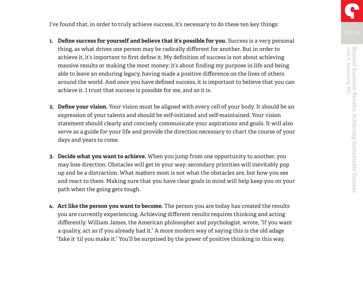I've found that, in order to truly achieve success, it's necessary to do these ten key things:

- **1. Define success for yourself and believe that it's possible for you.** Success is a very personal thing, as what drives one person may be radically different for another. But in order to achieve it, it's important to first define it. My definition of success is not about achieving massive results or making the most money; it's about finding my purpose in life and being able to leave an enduring legacy, having made a positive difference on the lives of others around the world. And once you have defined success, it is important to believe that you can achieve it. I trust that success is possible for me, and so it is.
- **2. Define your vision.** Your vision must be aligned with every cell of your body. It should be an expression of your talents and should be self-initiated and self-maintained. Your vision statement should clearly and concisely communicate your aspirations and goals. It will also serve as a guide for your life and provide the direction necessary to chart the course of your days and years to come.
- **3. Decide what you want to achieve.** When you jump from one opportunity to another, you may lose direction. Obstacles will get in your way; secondary priorities will inevitably pop up and be a distraction. What matters most is not what the obstacles are, but how you see and react to them. Making sure that you have clear goals in mind will help keep you on your path when the going gets tough.
- **4. Act like the person you want to become.** The person you are today has created the results you are currently experiencing. Achieving different results requires thinking and acting differently. William James, the American philosopher and psychologist, wrote, "If you want a quality, act as if you already had it." A more modern way of saying this is the old adage "fake it 'til you make it." You'll be surprised by the power of positive thinking in this way.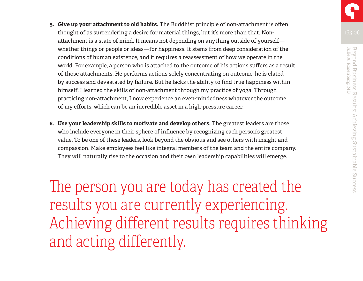- **5. Give up your attachment to old habits.** The Buddhist principle of non-attachment is often thought of as surrendering a desire for material things, but it's more than that. Nonattachment is a state of mind. It means not depending on anything outside of yourself whether things or people or ideas—for happiness. It stems from deep consideration of the conditions of human existence, and it requires a reassessment of how we operate in the world. For example, a person who is attached to the outcome of his actions suffers as a result of those attachments. He performs actions solely concentrating on outcome; he is elated by success and devastated by failure. But he lacks the ability to find true happiness within himself. I learned the skills of non-attachment through my practice of yoga. Through practicing non-attachment, I now experience an even-mindedness whatever the outcome of my efforts, which can be an incredible asset in a high-pressure career.
- **6. Use your leadership skills to motivate and develop others.** The greatest leaders are those who include everyone in their sphere of influence by recognizing each person's greatest value. To be one of these leaders, look beyond the obvious and see others with insight and compassion. Make employees feel like integral members of the team and the entire company. They will naturally rise to the occasion and their own leadership capabilities will emerge.

The person you are today has created the results you are currently experiencing. Achieving different results requires thinking and acting differently.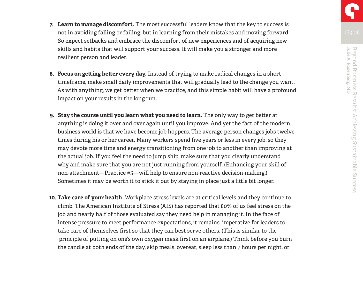- **7. Learn to manage discomfort.** The most successful leaders know that the key to success is
- not in avoiding falling or failing, but in learning from their mistakes and moving forward. So expect setbacks and embrace the discomfort of new experiences and of acquiring new skills and habits that will support your success. It will make you a stronger and more resilient person and leader.
- **8. Focus on getting better every day.** Instead of trying to make radical changes in a short timeframe, make small daily improvements that will gradually lead to the change you want. As with anything, we get better when we practice, and this simple habit will have a profound impact on your results in the long run.
- **9. Stay the course until you learn what you need to learn.** The only way to get better at anything is doing it over and over again until you improve. And yet the fact of the modern business world is that we have become job hoppers. The average person changes jobs twelve times during his or her career. Many workers spend five years or less in every job, so they may devote more time and energy transitioning from one job to another than improving at the actual job. If you feel the need to jump ship, make sure that you clearly understand why and make sure that you are not just running from yourself. (Enhancing your skill of non-attachment—Practice #5—will help to ensure non-reactive decision-making.) Sometimes it may be worth it to stick it out by staying in place just a little bit longer.
- **10. Take care of your health.** Workplace stress levels are at critical levels and they continue to climb. The American Institute of Stress (AIS) has reported that 80% of us feel stress on the job and nearly half of those evaluated say they need help in managing it. In the face of intense pressure to meet performance expectations, it remains imperative for leaders to take care of themselves first so that they can best serve others. (This is similar to the principle of putting on one's own oxygen mask first on an airplane.) Think before you burn the candle at both ends of the day, skip meals, overeat, sleep less than 7 hours per night, or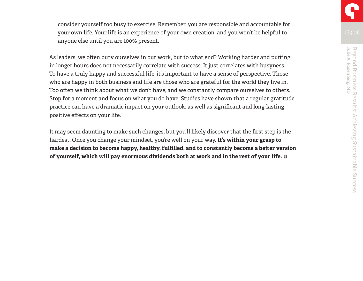consider yourself too busy to exercise. Remember, you are responsible and accountable for your own life. Your life is an experience of your own creation, and you won't be helpful to anyone else until you are 100% present.

As leaders, we often bury ourselves in our work, but to what end? Working harder and putting in longer hours does not necessarily correlate with success. It just correlates with busyness. To have a truly happy and successful life, it's important to have a sense of perspective. Those who are happy in both business and life are those who are grateful for the world they live in. Too often we think about what we don't have, and we constantly compare ourselves to others. Stop for a moment and focus on what you do have. Studies have shown that a regular gratitude practice can have a dramatic impact on your outlook, as well as significant and long-lasting positive effects on your life.

It may seem daunting to make such changes, but you'll likely discover that the first step is the hardest. Once you change your mindset, you're well on your way. **It's within your grasp to make a decision to become happy, healthy, fulfilled, and to constantly become a better version of yourself, which will pay enormous dividends both at work and in the rest of your life.**